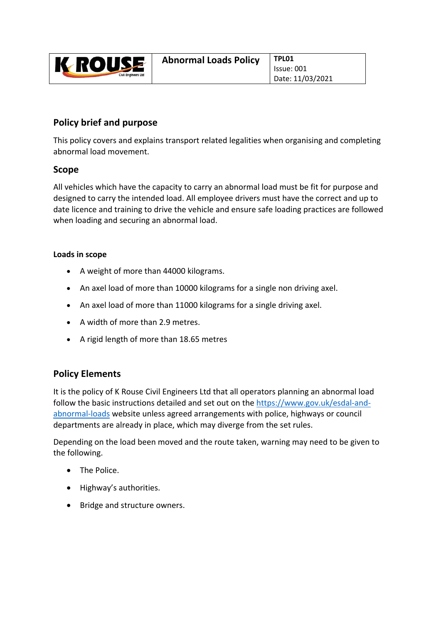| <b>K ROUSE</b><br><b>Civil Engineers Ltd</b> | <b>Abnormal Loads Policy</b> | TPL01            |
|----------------------------------------------|------------------------------|------------------|
|                                              |                              | Issue: 001       |
|                                              |                              | Date: 11/03/2021 |

## **Policy brief and purpose**

This policy covers and explains transport related legalities when organising and completing abnormal load movement.

## **Scope**

All vehicles which have the capacity to carry an abnormal load must be fit for purpose and designed to carry the intended load. All employee drivers must have the correct and up to date licence and training to drive the vehicle and ensure safe loading practices are followed when loading and securing an abnormal load.

## **Loads in scope**

- A weight of more than 44000 kilograms.
- An axel load of more than 10000 kilograms for a single non driving axel.
- An axel load of more than 11000 kilograms for a single driving axel.
- A width of more than 2.9 metres.
- A rigid length of more than 18.65 metres

## **Policy Elements**

It is the policy of K Rouse Civil Engineers Ltd that all operators planning an abnormal load follow the basic instructions detailed and set out on the https://www.gov.uk/esdal‐and‐ abnormal‐loads website unless agreed arrangements with police, highways or council departments are already in place, which may diverge from the set rules.

Depending on the load been moved and the route taken, warning may need to be given to the following.

- The Police.
- Highway's authorities.
- Bridge and structure owners.